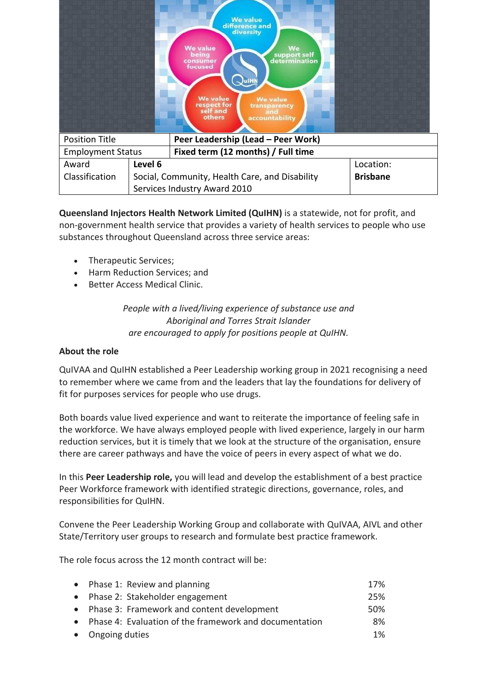|                                                             |         | <b>We value</b><br>difference and<br>diversity<br><b>We value</b><br>We<br>being<br>support self<br>determination<br>consumer<br>focused<br>JulHN<br><b>We value</b><br><b>We value</b><br>respect for<br>self and<br>transparency<br>and<br>others<br>accountability |  |  |
|-------------------------------------------------------------|---------|-----------------------------------------------------------------------------------------------------------------------------------------------------------------------------------------------------------------------------------------------------------------------|--|--|
| Peer Leadership (Lead - Peer Work)<br><b>Position Title</b> |         |                                                                                                                                                                                                                                                                       |  |  |
| <b>Employment Status</b>                                    |         | Fixed term (12 months) / Full time                                                                                                                                                                                                                                    |  |  |
| Award                                                       | Level 6 | Location:                                                                                                                                                                                                                                                             |  |  |
| Classification                                              |         | <b>Brisbane</b><br>Social, Community, Health Care, and Disability                                                                                                                                                                                                     |  |  |
|                                                             |         | Services Industry Award 2010                                                                                                                                                                                                                                          |  |  |

**Queensland Injectors Health Network Limited (QuIHN)** is a statewide, not for profit, and non-government health service that provides a variety of health services to people who use substances throughout Queensland across three service areas: 

- Therapeutic Services;
- Harm Reduction Services; and
- Better Access Medical Clinic.

*People with a lived/living experience of substance use and Aboriginal and Torres Strait Islander are encouraged to apply for positions people at QuIHN.*

## **About the role**

QuIVAA and QuIHN established a Peer Leadership working group in 2021 recognising a need to remember where we came from and the leaders that lay the foundations for delivery of fit for purposes services for people who use drugs.

Both boards value lived experience and want to reiterate the importance of feeling safe in the workforce. We have always employed people with lived experience, largely in our harm reduction services, but it is timely that we look at the structure of the organisation, ensure there are career pathways and have the voice of peers in every aspect of what we do.

In this **Peer Leadership role,** you will lead and develop the establishment of a best practice Peer Workforce framework with identified strategic directions, governance, roles, and responsibilities for QuIHN.

Convene the Peer Leadership Working Group and collaborate with QuIVAA, AIVL and other State/Territory user groups to research and formulate best practice framework.

The role focus across the 12 month contract will be:

| • Phase 1: Review and planning                           | 17%   |
|----------------------------------------------------------|-------|
| • Phase 2: Stakeholder engagement                        | 25%   |
| • Phase 3: Framework and content development             | 50%   |
| • Phase 4: Evaluation of the framework and documentation | 8%    |
| • Ongoing duties                                         | $1\%$ |